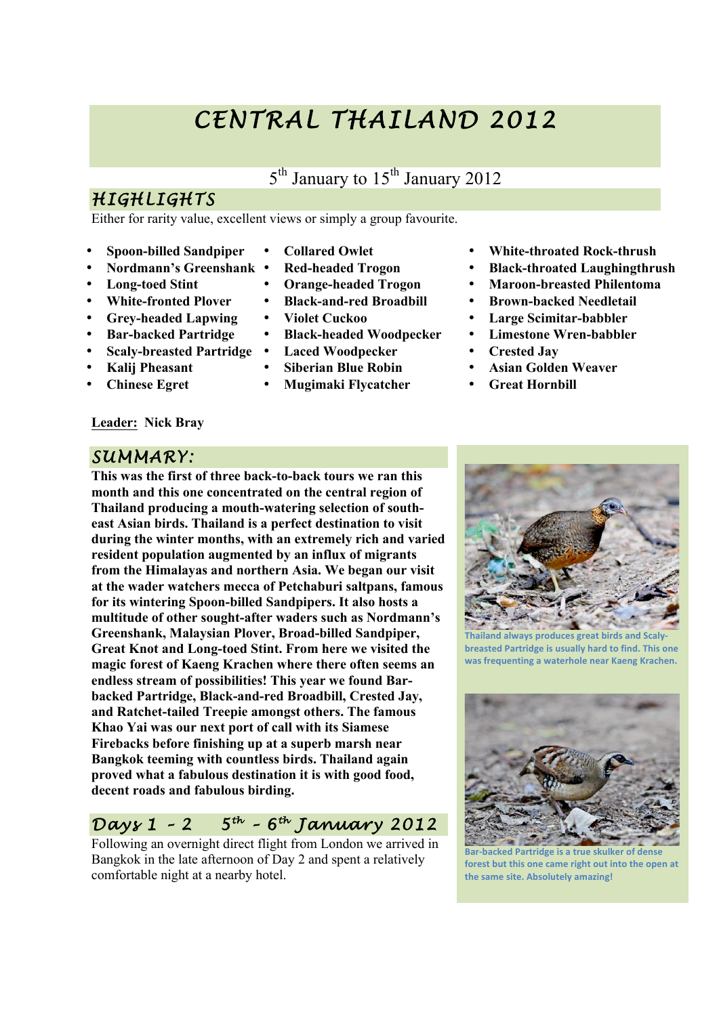# *CENTRAL THAILAND 2012*

# 5<sup>th</sup> January to 15<sup>th</sup> January 2012

# *HIGHLIGHTS*

Either for rarity value, excellent views or simply a group favourite.

- **Spoon-billed Sandpiper**
- **Nordmann's Greenshank**
- **Long-toed Stint**
- **White-fronted Plover**
- **Grey-headed Lapwing**
- **Bar-backed Partridge**
- **Scaly-breasted Partridge**
- **Kalij Pheasant**
- **Chinese Egret**

#### **Leader: Nick Bray**

#### *SUMMARY:*

**This was the first of three back-to-back tours we ran this month and this one concentrated on the central region of Thailand producing a mouth-watering selection of southeast Asian birds. Thailand is a perfect destination to visit during the winter months, with an extremely rich and varied resident population augmented by an influx of migrants from the Himalayas and northern Asia. We began our visit at the wader watchers mecca of Petchaburi saltpans, famous for its wintering Spoon-billed Sandpipers. It also hosts a multitude of other sought-after waders such as Nordmann's Greenshank, Malaysian Plover, Broad-billed Sandpiper, Great Knot and Long-toed Stint. From here we visited the magic forest of Kaeng Krachen where there often seems an endless stream of possibilities! This year we found Barbacked Partridge, Black-and-red Broadbill, Crested Jay, and Ratchet-tailed Treepie amongst others. The famous Khao Yai was our next port of call with its Siamese Firebacks before finishing up at a superb marsh near Bangkok teeming with countless birds. Thailand again proved what a fabulous destination it is with good food, decent roads and fabulous birding.**

# *Days 1 – 2 5th – 6th January 2012*

Following an overnight direct flight from London we arrived in Bangkok in the late afternoon of Day 2 and spent a relatively comfortable night at a nearby hotel.

- **Collared Owlet**
- **Red-headed Trogon**
- **Orange-headed Trogon**
- **Black-and-red Broadbill**
- **Violet Cuckoo**
- **Black-headed Woodpecker**
- **Laced Woodpecker**
- **Siberian Blue Robin**
- **Mugimaki Flycatcher**
- **White-throated Rock-thrush**
- **Black-throated Laughingthrush**
- **Maroon-breasted Philentoma**
- **Brown-backed Needletail**
- **Large Scimitar-babbler**
- **Limestone Wren-babbler**
- **Crested Jay**
- **Asian Golden Weaver**
- **Great Hornbill**



**nd always produces great birds and Scaly breasted Partridge is usually hard to find. This one** was frequenting a waterhole near Kaeng Krachen.



**Backed Partridge is a true skulker of dense** forest but this one came right out into the open at the same site. Absolutely amazing!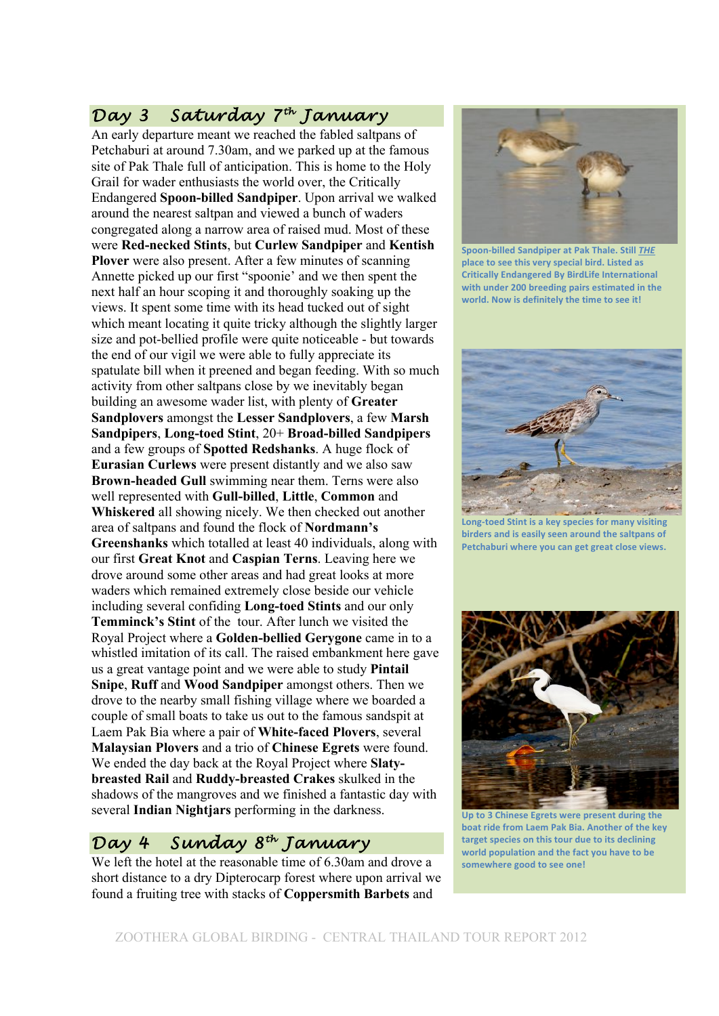## *Day 3 Saturday 7th January*

An early departure meant we reached the fabled saltpans of Petchaburi at around 7.30am, and we parked up at the famous site of Pak Thale full of anticipation. This is home to the Holy Grail for wader enthusiasts the world over, the Critically Endangered **Spoon-billed Sandpiper**. Upon arrival we walked around the nearest saltpan and viewed a bunch of waders congregated along a narrow area of raised mud. Most of these were **Red-necked Stints**, but **Curlew Sandpiper** and **Kentish Plover** were also present. After a few minutes of scanning Annette picked up our first "spoonie' and we then spent the next half an hour scoping it and thoroughly soaking up the views. It spent some time with its head tucked out of sight which meant locating it quite tricky although the slightly larger size and pot-bellied profile were quite noticeable - but towards the end of our vigil we were able to fully appreciate its spatulate bill when it preened and began feeding. With so much activity from other saltpans close by we inevitably began building an awesome wader list, with plenty of **Greater Sandplovers** amongst the **Lesser Sandplovers**, a few **Marsh Sandpipers**, **Long-toed Stint**, 20+ **Broad-billed Sandpipers** and a few groups of **Spotted Redshanks**. A huge flock of **Eurasian Curlews** were present distantly and we also saw **Brown-headed Gull** swimming near them. Terns were also well represented with **Gull-billed**, **Little**, **Common** and **Whiskered** all showing nicely. We then checked out another area of saltpans and found the flock of **Nordmann's Greenshanks** which totalled at least 40 individuals, along with our first **Great Knot** and **Caspian Terns**. Leaving here we drove around some other areas and had great looks at more waders which remained extremely close beside our vehicle including several confiding **Long-toed Stints** and our only **Temminck's Stint** of the tour. After lunch we visited the Royal Project where a **Golden-bellied Gerygone** came in to a whistled imitation of its call. The raised embankment here gave us a great vantage point and we were able to study **Pintail Snipe**, **Ruff** and **Wood Sandpiper** amongst others. Then we drove to the nearby small fishing village where we boarded a couple of small boats to take us out to the famous sandspit at Laem Pak Bia where a pair of **White-faced Plovers**, several **Malaysian Plovers** and a trio of **Chinese Egrets** were found. We ended the day back at the Royal Project where **Slatybreasted Rail** and **Ruddy-breasted Crakes** skulked in the shadows of the mangroves and we finished a fantastic day with several **Indian Nightjars** performing in the darkness.

#### *Day 4 Sunday 8th January*

We left the hotel at the reasonable time of 6.30am and drove a short distance to a dry Dipterocarp forest where upon arrival we found a fruiting tree with stacks of **Coppersmith Barbets** and



Spoon-billed Sandpiper at Pak Thale. Still THE place to see this very special bird. Listed as **Critically Endangered By BirdLife International** with under 200 breeding pairs estimated in the **world. Now is definitely the time to see it!** 



Long-toed Stint is a key species for many visiting birders and is easily seen around the saltpans of Petchaburi where you can get great close views.



Up to 3 Chinese Egrets were present during the **boat ride from Laem Pak Bia. Another of the key** target species on this tour due to its declining world population and the fact you have to be somewhere good to see one!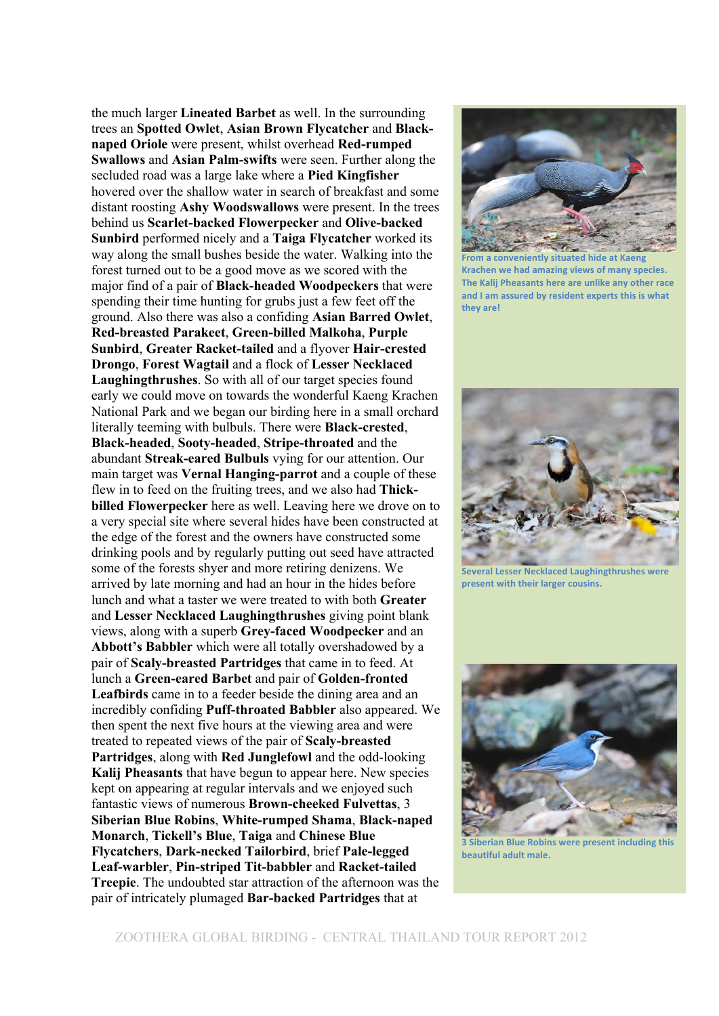the much larger **Lineated Barbet** as well. In the surrounding trees an **Spotted Owlet**, **Asian Brown Flycatcher** and **Blacknaped Oriole** were present, whilst overhead **Red-rumped Swallows** and **Asian Palm-swifts** were seen. Further along the secluded road was a large lake where a **Pied Kingfisher** hovered over the shallow water in search of breakfast and some distant roosting **Ashy Woodswallows** were present. In the trees behind us **Scarlet-backed Flowerpecker** and **Olive-backed Sunbird** performed nicely and a **Taiga Flycatcher** worked its way along the small bushes beside the water. Walking into the forest turned out to be a good move as we scored with the major find of a pair of **Black-headed Woodpeckers** that were spending their time hunting for grubs just a few feet off the ground. Also there was also a confiding **Asian Barred Owlet**, **Red-breasted Parakeet**, **Green-billed Malkoha**, **Purple Sunbird**, **Greater Racket-tailed** and a flyover **Hair-crested Drongo**, **Forest Wagtail** and a flock of **Lesser Necklaced Laughingthrushes**. So with all of our target species found early we could move on towards the wonderful Kaeng Krachen National Park and we began our birding here in a small orchard literally teeming with bulbuls. There were **Black-crested**, **Black-headed**, **Sooty-headed**, **Stripe-throated** and the abundant **Streak-eared Bulbuls** vying for our attention. Our main target was **Vernal Hanging-parrot** and a couple of these flew in to feed on the fruiting trees, and we also had **Thickbilled Flowerpecker** here as well. Leaving here we drove on to a very special site where several hides have been constructed at the edge of the forest and the owners have constructed some drinking pools and by regularly putting out seed have attracted some of the forests shyer and more retiring denizens. We arrived by late morning and had an hour in the hides before lunch and what a taster we were treated to with both **Greater** and **Lesser Necklaced Laughingthrushes** giving point blank views, along with a superb **Grey-faced Woodpecker** and an **Abbott's Babbler** which were all totally overshadowed by a pair of **Scaly-breasted Partridges** that came in to feed. At lunch a **Green-eared Barbet** and pair of **Golden-fronted Leafbirds** came in to a feeder beside the dining area and an incredibly confiding **Puff-throated Babbler** also appeared. We then spent the next five hours at the viewing area and were treated to repeated views of the pair of **Scaly-breasted Partridges**, along with **Red Junglefowl** and the odd-looking **Kalij Pheasants** that have begun to appear here. New species kept on appearing at regular intervals and we enjoyed such fantastic views of numerous **Brown-cheeked Fulvettas**, 3 **Siberian Blue Robins**, **White-rumped Shama**, **Black-naped Monarch**, **Tickell's Blue**, **Taiga** and **Chinese Blue Flycatchers**, **Dark-necked Tailorbird**, brief **Pale-legged Leaf-warbler**, **Pin-striped Tit-babbler** and **Racket-tailed Treepie**. The undoubted star attraction of the afternoon was the pair of intricately plumaged **Bar-backed Partridges** that at



**From a conveniently situated hide at Kaeng Krachen we had amazing views of many species.** The Kalij Pheasants here are unlike any other race and I am assured by resident experts this is what they are!



**Several Lesser Necklaced Laughingthrushes were** present with their larger cousins.



**3 Siberian Blue Robins were present including this beautiful adult male.**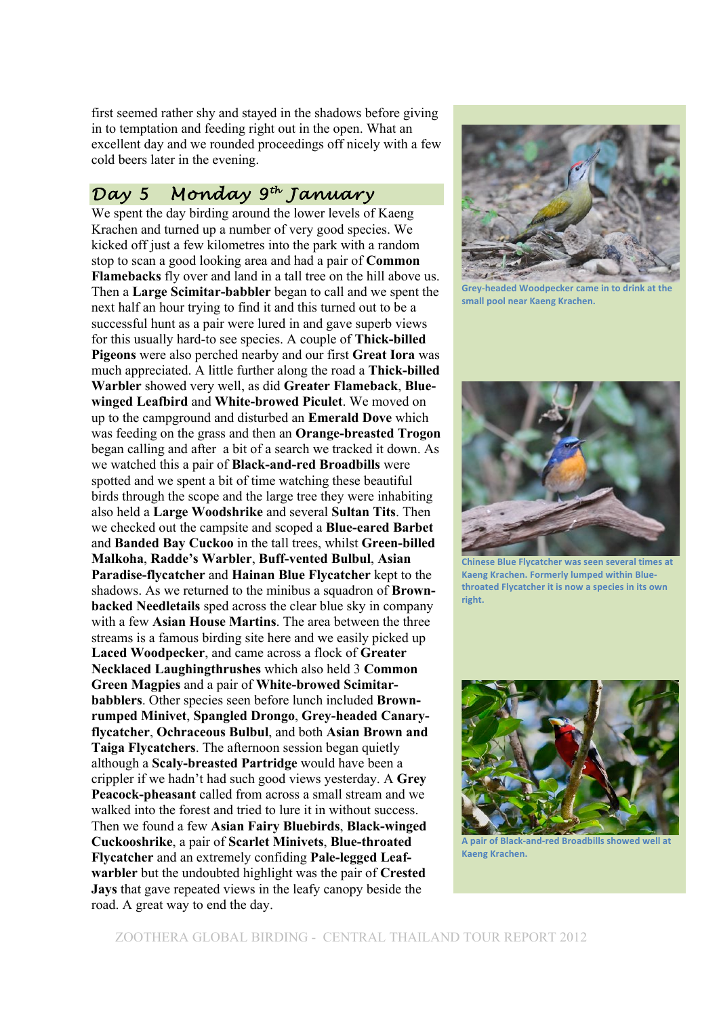first seemed rather shy and stayed in the shadows before giving in to temptation and feeding right out in the open. What an excellent day and we rounded proceedings off nicely with a few cold beers later in the evening.

#### *Day 5 Monday 9th January*

We spent the day birding around the lower levels of Kaeng Krachen and turned up a number of very good species. We kicked off just a few kilometres into the park with a random stop to scan a good looking area and had a pair of **Common Flamebacks** fly over and land in a tall tree on the hill above us. Then a **Large Scimitar-babbler** began to call and we spent the next half an hour trying to find it and this turned out to be a successful hunt as a pair were lured in and gave superb views for this usually hard-to see species. A couple of **Thick-billed Pigeons** were also perched nearby and our first **Great Iora** was much appreciated. A little further along the road a **Thick-billed Warbler** showed very well, as did **Greater Flameback**, **Bluewinged Leafbird** and **White-browed Piculet**. We moved on up to the campground and disturbed an **Emerald Dove** which was feeding on the grass and then an **Orange-breasted Trogon** began calling and after a bit of a search we tracked it down. As we watched this a pair of **Black-and-red Broadbills** were spotted and we spent a bit of time watching these beautiful birds through the scope and the large tree they were inhabiting also held a **Large Woodshrike** and several **Sultan Tits**. Then we checked out the campsite and scoped a **Blue-eared Barbet** and **Banded Bay Cuckoo** in the tall trees, whilst **Green-billed Malkoha**, **Radde's Warbler**, **Buff-vented Bulbul**, **Asian Paradise-flycatcher** and **Hainan Blue Flycatcher** kept to the shadows. As we returned to the minibus a squadron of **Brownbacked Needletails** sped across the clear blue sky in company with a few **Asian House Martins**. The area between the three streams is a famous birding site here and we easily picked up **Laced Woodpecker**, and came across a flock of **Greater Necklaced Laughingthrushes** which also held 3 **Common Green Magpies** and a pair of **White-browed Scimitarbabblers**. Other species seen before lunch included **Brownrumped Minivet**, **Spangled Drongo**, **Grey-headed Canaryflycatcher**, **Ochraceous Bulbul**, and both **Asian Brown and Taiga Flycatchers**. The afternoon session began quietly although a **Scaly-breasted Partridge** would have been a crippler if we hadn't had such good views yesterday. A **Grey Peacock-pheasant** called from across a small stream and we walked into the forest and tried to lure it in without success. Then we found a few **Asian Fairy Bluebirds**, **Black-winged Cuckooshrike**, a pair of **Scarlet Minivets**, **Blue-throated Flycatcher** and an extremely confiding **Pale-legged Leafwarbler** but the undoubted highlight was the pair of **Crested Jays** that gave repeated views in the leafy canopy beside the road. A great way to end the day.



**Grey-headed Woodpecker came in to drink at the** small pool near Kaeng Krachen.



**Chinese Blue Flycatcher was seen several times at Kaeng Krachen. Formerly lumped within Blue**throated Flycatcher it is now a species in its own **right.!**



A pair of Black-and-red Broadbills showed well at **Kaeng!Krachen.**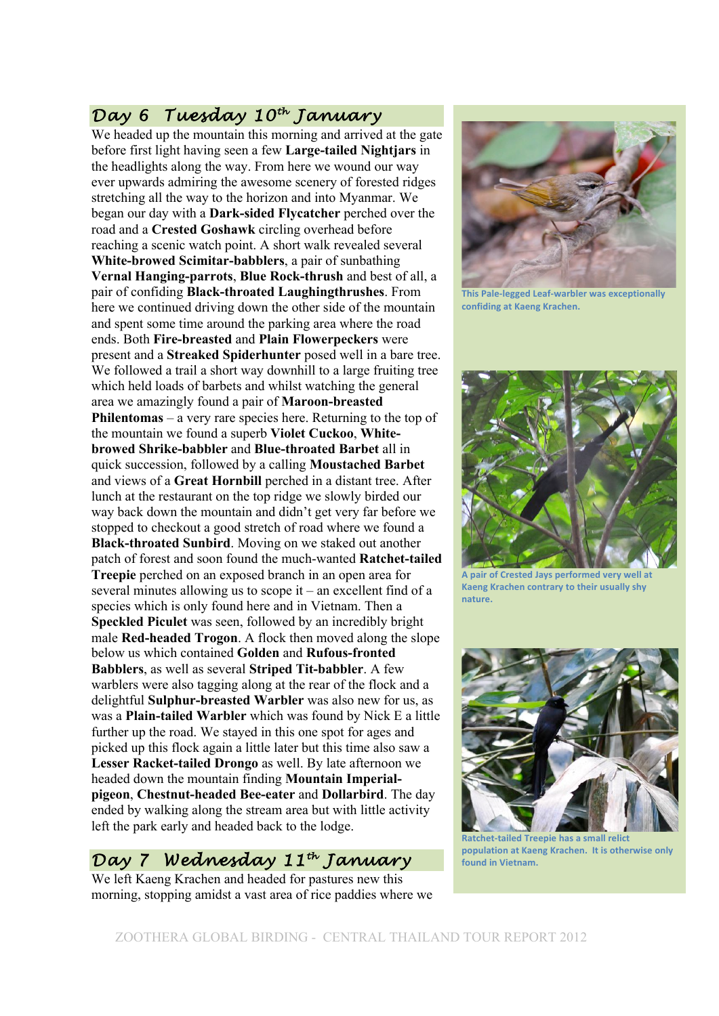# *Day 6 Tuesday 10th January*

We headed up the mountain this morning and arrived at the gate before first light having seen a few **Large-tailed Nightjars** in the headlights along the way. From here we wound our way ever upwards admiring the awesome scenery of forested ridges stretching all the way to the horizon and into Myanmar. We began our day with a **Dark-sided Flycatcher** perched over the road and a **Crested Goshawk** circling overhead before reaching a scenic watch point. A short walk revealed several **White-browed Scimitar-babblers**, a pair of sunbathing **Vernal Hanging-parrots**, **Blue Rock-thrush** and best of all, a pair of confiding **Black-throated Laughingthrushes**. From here we continued driving down the other side of the mountain and spent some time around the parking area where the road ends. Both **Fire-breasted** and **Plain Flowerpeckers** were present and a **Streaked Spiderhunter** posed well in a bare tree. We followed a trail a short way downhill to a large fruiting tree which held loads of barbets and whilst watching the general area we amazingly found a pair of **Maroon-breasted Philentomas** – a very rare species here. Returning to the top of the mountain we found a superb **Violet Cuckoo**, **Whitebrowed Shrike-babbler** and **Blue-throated Barbet** all in quick succession, followed by a calling **Moustached Barbet** and views of a **Great Hornbill** perched in a distant tree. After lunch at the restaurant on the top ridge we slowly birded our way back down the mountain and didn't get very far before we stopped to checkout a good stretch of road where we found a **Black-throated Sunbird**. Moving on we staked out another patch of forest and soon found the much-wanted **Ratchet-tailed Treepie** perched on an exposed branch in an open area for several minutes allowing us to scope it – an excellent find of a species which is only found here and in Vietnam. Then a **Speckled Piculet** was seen, followed by an incredibly bright male **Red-headed Trogon**. A flock then moved along the slope below us which contained **Golden** and **Rufous-fronted Babblers**, as well as several **Striped Tit-babbler**. A few warblers were also tagging along at the rear of the flock and a delightful **Sulphur-breasted Warbler** was also new for us, as was a **Plain-tailed Warbler** which was found by Nick E a little further up the road. We stayed in this one spot for ages and picked up this flock again a little later but this time also saw a **Lesser Racket-tailed Drongo** as well. By late afternoon we headed down the mountain finding **Mountain Imperialpigeon**, **Chestnut-headed Bee-eater** and **Dollarbird**. The day ended by walking along the stream area but with little activity left the park early and headed back to the lodge.

#### *Day 7 Wednesday 11th January*

We left Kaeng Krachen and headed for pastures new this morning, stopping amidst a vast area of rice paddies where we



**This Pale-legged Leaf-warbler was exceptionally confiding at Kaeng Krachen.** 



A pair of Crested Jays performed very well at **Kaeng Krachen contrary to their usually shy nature.!**



**Ratchet-tailed Treepie has a small relict** population at Kaeng Krachen. It is otherwise only **found in Vietnam.**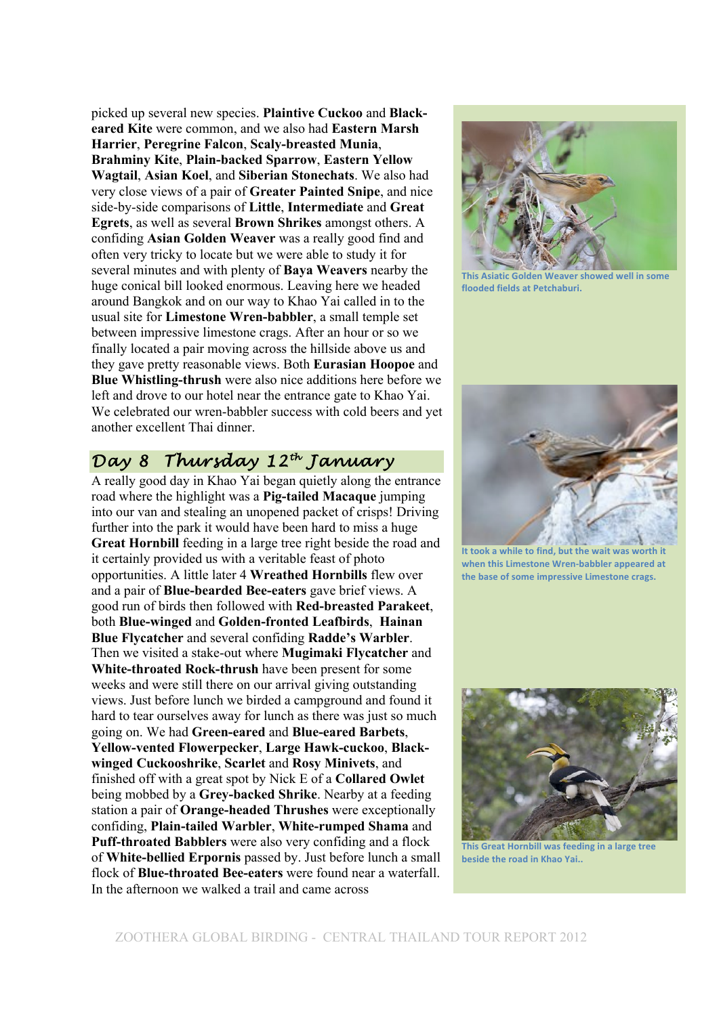picked up several new species. **Plaintive Cuckoo** and **Blackeared Kite** were common, and we also had **Eastern Marsh Harrier**, **Peregrine Falcon**, **Scaly-breasted Munia**, **Brahminy Kite**, **Plain-backed Sparrow**, **Eastern Yellow Wagtail**, **Asian Koel**, and **Siberian Stonechats**. We also had very close views of a pair of **Greater Painted Snipe**, and nice side-by-side comparisons of **Little**, **Intermediate** and **Great Egrets**, as well as several **Brown Shrikes** amongst others. A confiding **Asian Golden Weaver** was a really good find and often very tricky to locate but we were able to study it for several minutes and with plenty of **Baya Weavers** nearby the huge conical bill looked enormous. Leaving here we headed around Bangkok and on our way to Khao Yai called in to the usual site for **Limestone Wren-babbler**, a small temple set between impressive limestone crags. After an hour or so we finally located a pair moving across the hillside above us and they gave pretty reasonable views. Both **Eurasian Hoopoe** and **Blue Whistling-thrush** were also nice additions here before we left and drove to our hotel near the entrance gate to Khao Yai. We celebrated our wren-babbler success with cold beers and yet another excellent Thai dinner.

# *Day 8 Thursday 12th January*

A really good day in Khao Yai began quietly along the entrance road where the highlight was a **Pig-tailed Macaque** jumping into our van and stealing an unopened packet of crisps! Driving further into the park it would have been hard to miss a huge **Great Hornbill** feeding in a large tree right beside the road and it certainly provided us with a veritable feast of photo opportunities. A little later 4 **Wreathed Hornbills** flew over and a pair of **Blue-bearded Bee-eaters** gave brief views. A good run of birds then followed with **Red-breasted Parakeet**, both **Blue-winged** and **Golden-fronted Leafbirds**, **Hainan Blue Flycatcher** and several confiding **Radde's Warbler**. Then we visited a stake-out where **Mugimaki Flycatcher** and **White-throated Rock-thrush** have been present for some weeks and were still there on our arrival giving outstanding views. Just before lunch we birded a campground and found it hard to tear ourselves away for lunch as there was just so much going on. We had **Green-eared** and **Blue-eared Barbets**, **Yellow-vented Flowerpecker**, **Large Hawk-cuckoo**, **Blackwinged Cuckooshrike**, **Scarlet** and **Rosy Minivets**, and finished off with a great spot by Nick E of a **Collared Owlet** being mobbed by a **Grey-backed Shrike**. Nearby at a feeding station a pair of **Orange-headed Thrushes** were exceptionally confiding, **Plain-tailed Warbler**, **White-rumped Shama** and **Puff-throated Babblers** were also very confiding and a flock of **White-bellied Erpornis** passed by. Just before lunch a small flock of **Blue-throated Bee-eaters** were found near a waterfall. In the afternoon we walked a trail and came across



**This Asiatic Golden Weaver showed well in some flooded fields at Petchaburi.** 



It took a while to find, but the wait was worth it when this Limestone Wren-babbler appeared at the base of some impressive Limestone crags.



**This Great Hornbill was feeding in a large tree beside the road in Khao Yai..**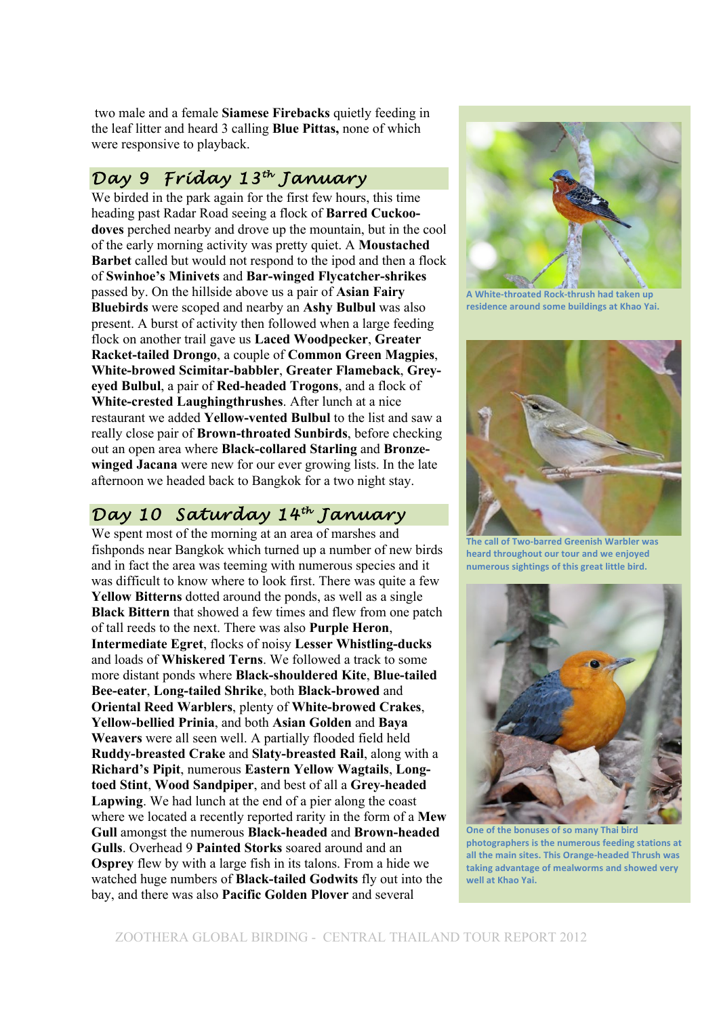two male and a female **Siamese Firebacks** quietly feeding in the leaf litter and heard 3 calling **Blue Pittas,** none of which were responsive to playback.

#### *Day 9 Friday 13th January*

We birded in the park again for the first few hours, this time heading past Radar Road seeing a flock of **Barred Cuckoodoves** perched nearby and drove up the mountain, but in the cool of the early morning activity was pretty quiet. A **Moustached Barbet** called but would not respond to the ipod and then a flock of **Swinhoe's Minivets** and **Bar-winged Flycatcher-shrikes** passed by. On the hillside above us a pair of **Asian Fairy Bluebirds** were scoped and nearby an **Ashy Bulbul** was also present. A burst of activity then followed when a large feeding flock on another trail gave us **Laced Woodpecker**, **Greater Racket-tailed Drongo**, a couple of **Common Green Magpies**, **White-browed Scimitar-babbler**, **Greater Flameback**, **Greyeyed Bulbul**, a pair of **Red-headed Trogons**, and a flock of **White-crested Laughingthrushes**. After lunch at a nice restaurant we added **Yellow-vented Bulbul** to the list and saw a really close pair of **Brown-throated Sunbirds**, before checking out an open area where **Black-collared Starling** and **Bronzewinged Jacana** were new for our ever growing lists. In the late afternoon we headed back to Bangkok for a two night stay.

## *Day 10 Saturday 14th January*

We spent most of the morning at an area of marshes and fishponds near Bangkok which turned up a number of new birds and in fact the area was teeming with numerous species and it was difficult to know where to look first. There was quite a few **Yellow Bitterns** dotted around the ponds, as well as a single **Black Bittern** that showed a few times and flew from one patch of tall reeds to the next. There was also **Purple Heron**, **Intermediate Egret**, flocks of noisy **Lesser Whistling-ducks** and loads of **Whiskered Terns**. We followed a track to some more distant ponds where **Black-shouldered Kite**, **Blue-tailed Bee-eater**, **Long-tailed Shrike**, both **Black-browed** and **Oriental Reed Warblers**, plenty of **White-browed Crakes**, **Yellow-bellied Prinia**, and both **Asian Golden** and **Baya Weavers** were all seen well. A partially flooded field held **Ruddy-breasted Crake** and **Slaty-breasted Rail**, along with a **Richard's Pipit**, numerous **Eastern Yellow Wagtails**, **Longtoed Stint**, **Wood Sandpiper**, and best of all a **Grey-headed Lapwing**. We had lunch at the end of a pier along the coast where we located a recently reported rarity in the form of a **Mew Gull** amongst the numerous **Black-headed** and **Brown-headed Gulls**. Overhead 9 **Painted Storks** soared around and an **Osprey** flew by with a large fish in its talons. From a hide we watched huge numbers of **Black-tailed Godwits** fly out into the bay, and there was also **Pacific Golden Plover** and several



**A White-throated Rock-thrush had taken up** residence around some buildings at Khao Yai.



**The call of Two-barred Greenish Warbler was** heard throughout our tour and we enjoyed numerous sightings of this great little bird.



**One of the bonuses of so many Thai bird** photographers is the numerous feeding stations at all the main sites. This Orange-headed Thrush was taking advantage of mealworms and showed very well at **Khao Yai**.